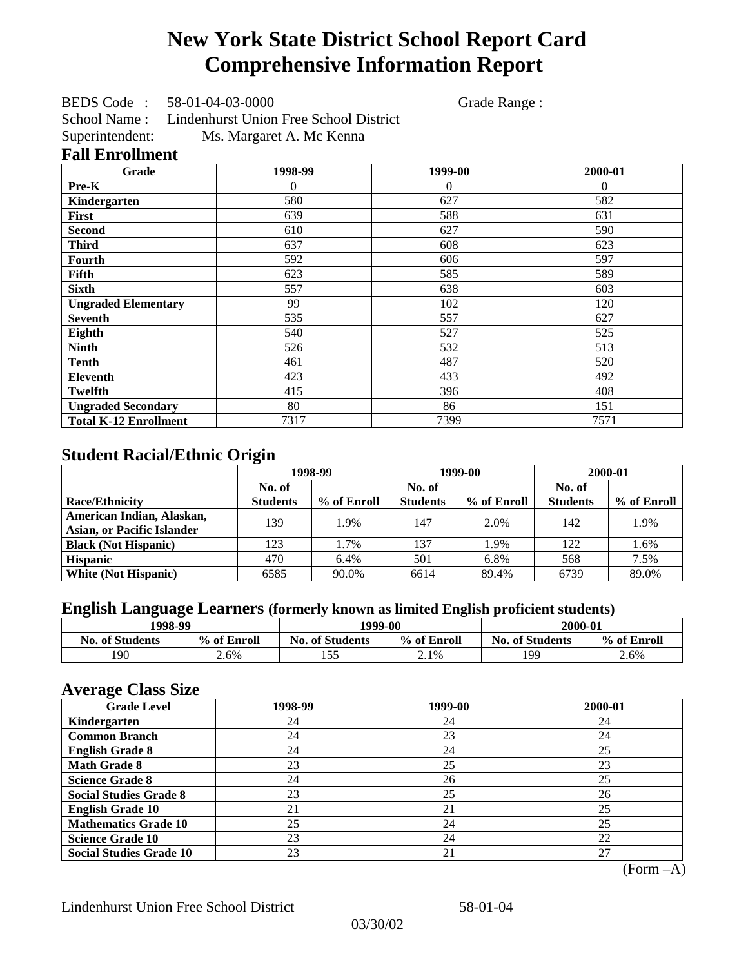# **New York State District School Report Card Comprehensive Information Report**

BEDS Code : 58-01-04-03-0000 Grade Range :

School Name : Lindenhurst Union Free School District Superintendent: Ms. Margaret A. Mc Kenna

### **Fall Enrollment**

| Grade                        | 1998-99        | 1999-00        | 2000-01  |
|------------------------------|----------------|----------------|----------|
| Pre-K                        | $\overline{0}$ | $\overline{0}$ | $\Omega$ |
| Kindergarten                 | 580            | 627            | 582      |
| First                        | 639            | 588            | 631      |
| <b>Second</b>                | 610            | 627            | 590      |
| <b>Third</b>                 | 637            | 608            | 623      |
| Fourth                       | 592            | 606            | 597      |
| Fifth                        | 623            | 585            | 589      |
| <b>Sixth</b>                 | 557            | 638            | 603      |
| <b>Ungraded Elementary</b>   | 99             | 102            | 120      |
| <b>Seventh</b>               | 535            | 557            | 627      |
| Eighth                       | 540            | 527            | 525      |
| <b>Ninth</b>                 | 526            | 532            | 513      |
| <b>Tenth</b>                 | 461            | 487            | 520      |
| <b>Eleventh</b>              | 423            | 433            | 492      |
| <b>Twelfth</b>               | 415            | 396            | 408      |
| <b>Ungraded Secondary</b>    | 80             | 86             | 151      |
| <b>Total K-12 Enrollment</b> | 7317           | 7399           | 7571     |

## **Student Racial/Ethnic Origin**

|                                   | 1998-99         |             |                 | 1999-00     | 2000-01         |             |
|-----------------------------------|-----------------|-------------|-----------------|-------------|-----------------|-------------|
|                                   | No. of          |             | No. of          |             | No. of          |             |
| <b>Race/Ethnicity</b>             | <b>Students</b> | % of Enroll | <b>Students</b> | % of Enroll | <b>Students</b> | % of Enroll |
| American Indian, Alaskan,         | 139             | 1.9%        | 147             | 2.0%        | 142             | 1.9%        |
| <b>Asian, or Pacific Islander</b> |                 |             |                 |             |                 |             |
| <b>Black (Not Hispanic)</b>       | 123             | 1.7%        | 137             | 1.9%        | 122             | 1.6%        |
| <b>Hispanic</b>                   | 470             | 6.4%        | 501             | 6.8%        | 568             | 7.5%        |
| <b>White (Not Hispanic)</b>       | 6585            | 90.0%       | 6614            | 89.4%       | 6739            | 89.0%       |

## **English Language Learners (formerly known as limited English proficient students)**

| 1998-99                |             |                                       | 1999-00 |                        | 2000-01     |
|------------------------|-------------|---------------------------------------|---------|------------------------|-------------|
| <b>No. of Students</b> | % of Enroll | % of Enroll<br><b>No. of Students</b> |         | <b>No. of Students</b> | % of Enroll |
| 190                    | 2.6%        | 55<br>1 J J                           | 2.1%    | 199                    | 2.6%        |

### **Average Class Size**

| ---- <del>-</del> -------<br><b>Grade Level</b> | 1998-99 | 1999-00 | 2000-01 |
|-------------------------------------------------|---------|---------|---------|
| Kindergarten                                    | 24      | 24      | 24      |
| <b>Common Branch</b>                            | 24      | 23      | 24      |
| <b>English Grade 8</b>                          | 24      | 24      | 25      |
| <b>Math Grade 8</b>                             | 23      | 25      | 23      |
| <b>Science Grade 8</b>                          | 24      | 26      | 25      |
| <b>Social Studies Grade 8</b>                   | 23      | 25      | 26      |
| <b>English Grade 10</b>                         | 21      | 21      | 25      |
| <b>Mathematics Grade 10</b>                     | 25      | 24      | 25      |
| <b>Science Grade 10</b>                         | 23      | 24      | 22      |
| <b>Social Studies Grade 10</b>                  | 23      | 21      | 27      |

(Form –A)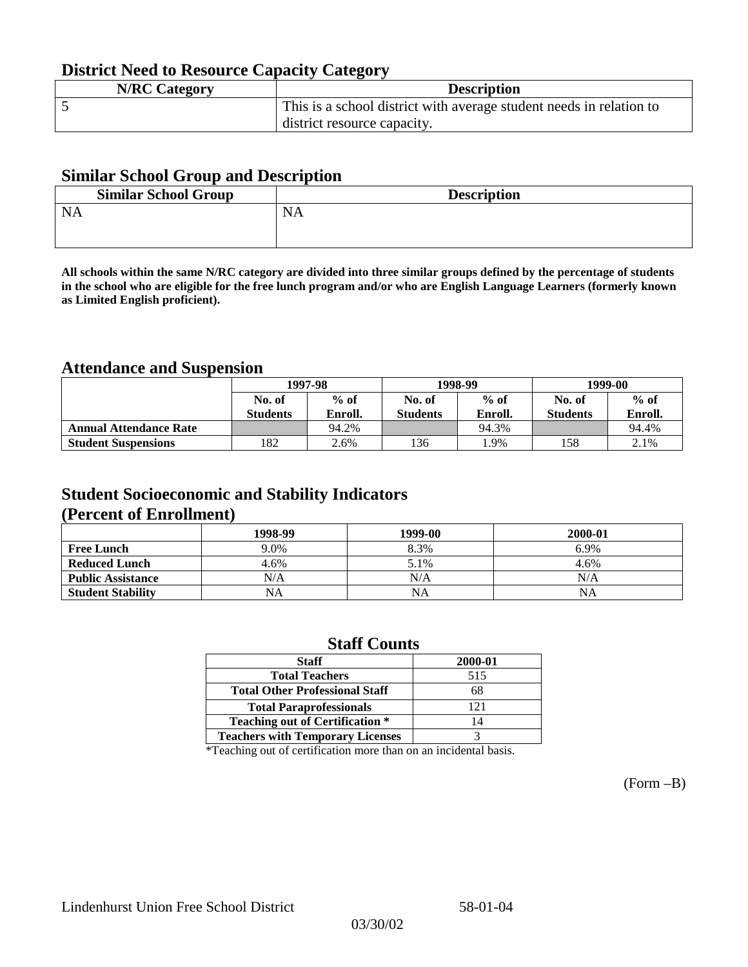## **District Need to Resource Capacity Category**

| <b>N/RC Category</b> | <b>Description</b>                                                  |
|----------------------|---------------------------------------------------------------------|
|                      | This is a school district with average student needs in relation to |
|                      | district resource capacity.                                         |

### **Similar School Group and Description**

| <b>Similar School Group</b> | <b>Description</b> |
|-----------------------------|--------------------|
| <b>NA</b>                   | <b>NA</b>          |
|                             |                    |

**All schools within the same N/RC category are divided into three similar groups defined by the percentage of students in the school who are eligible for the free lunch program and/or who are English Language Learners (formerly known as Limited English proficient).**

### **Attendance and Suspension**

|                               | 1997-98         |         |                 | 1998-99 | 1999-00         |         |
|-------------------------------|-----------------|---------|-----------------|---------|-----------------|---------|
|                               | No. of          | $%$ of  | No. of          | $%$ of  | No. of          | $%$ of  |
|                               | <b>Students</b> | Enroll. | <b>Students</b> | Enroll. | <b>Students</b> | Enroll. |
| <b>Annual Attendance Rate</b> |                 | 94.2%   |                 | 94.3%   |                 | 94.4%   |
| <b>Student Suspensions</b>    | .82             | 2.6%    | 136             | .9%     | 158             | 2.1%    |

### **Student Socioeconomic and Stability Indicators (Percent of Enrollment)**

|                          | 1998-99 | 1999-00   | 2000-01 |
|--------------------------|---------|-----------|---------|
| <b>Free Lunch</b>        | 9.0%    | 8.3%      | 6.9%    |
| <b>Reduced Lunch</b>     | 4.6%    | 5.1%      | 4.6%    |
| <b>Public Assistance</b> | N/A     | N/A       | N/A     |
| <b>Student Stability</b> | NA      | <b>NA</b> | NA      |

### **Staff Counts**

\*Teaching out of certification more than on an incidental basis.

(Form –B)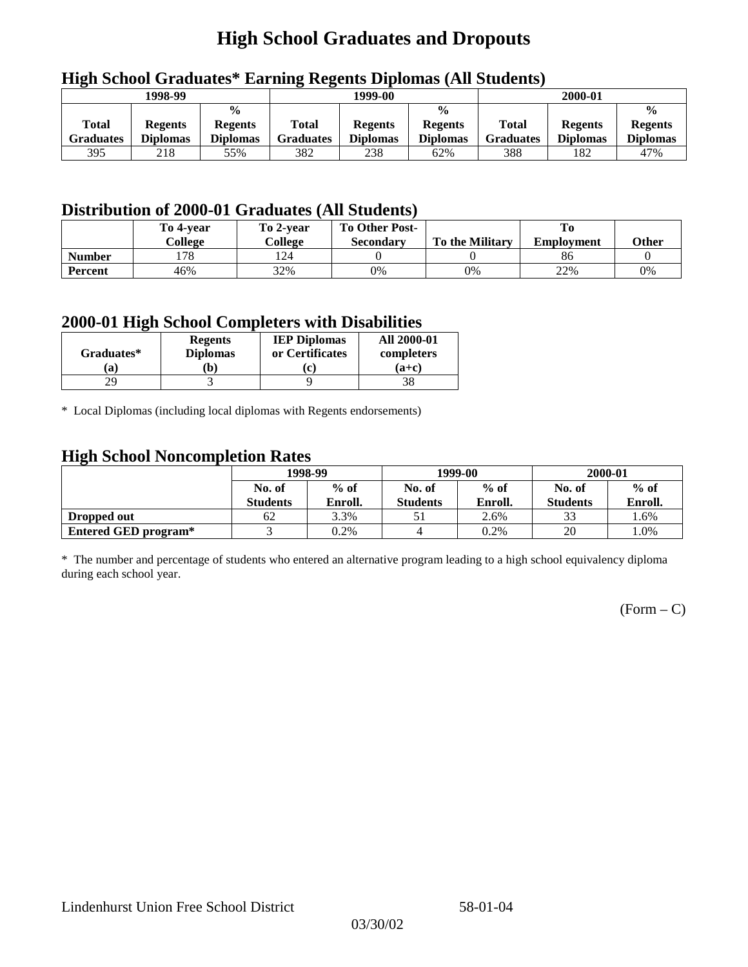## **High School Graduates and Dropouts**

|                           | 1998-99                           |                                                    |                           | 1999-00                           |                                                    |                                  |                                   |                                                    |  | 2000-01 |  |
|---------------------------|-----------------------------------|----------------------------------------------------|---------------------------|-----------------------------------|----------------------------------------------------|----------------------------------|-----------------------------------|----------------------------------------------------|--|---------|--|
| <b>Total</b><br>Graduates | <b>Regents</b><br><b>Diplomas</b> | $\frac{0}{0}$<br><b>Regents</b><br><b>Diplomas</b> | Total<br><b>Graduates</b> | <b>Regents</b><br><b>Diplomas</b> | $\frac{6}{6}$<br><b>Regents</b><br><b>Diplomas</b> | <b>Total</b><br><b>Graduates</b> | <b>Regents</b><br><b>Diplomas</b> | $\frac{0}{0}$<br><b>Regents</b><br><b>Diplomas</b> |  |         |  |
| 395                       | 218                               | 55%                                                | 382                       | 238                               | 62%                                                | 388                              | 182                               | 47%                                                |  |         |  |

## **High School Graduates\* Earning Regents Diplomas (All Students)**

## **Distribution of 2000-01 Graduates (All Students)**

|                | To 4-vear | To 2-year | <b>To Other Post-</b> |                        |                   |       |
|----------------|-----------|-----------|-----------------------|------------------------|-------------------|-------|
|                | College   | College   | <b>Secondary</b>      | <b>To the Military</b> | <b>Employment</b> | Other |
| <b>Number</b>  | 178       | l 24      |                       |                        | 86                |       |
| <b>Percent</b> | 46%       | 32%       | 0%                    | 0%                     | 22%               | 0%    |

### **2000-01 High School Completers with Disabilities**

| Graduates* | <b>Regents</b><br><b>Diplomas</b> | <b>IEP Diplomas</b><br>or Certificates | <b>All 2000-01</b><br>completers |
|------------|-----------------------------------|----------------------------------------|----------------------------------|
| a          | b)                                | ۰ρ.                                    | $(a+c)$                          |
|            |                                   |                                        |                                  |

\* Local Diplomas (including local diplomas with Regents endorsements)

### **High School Noncompletion Rates**

| ັ                    | 1998-99         |         |                 | 1999-00 | 2000-01         |         |
|----------------------|-----------------|---------|-----------------|---------|-----------------|---------|
|                      | No. of          | $%$ of  | No. of          | $%$ of  | No. of          | $%$ of  |
|                      | <b>Students</b> | Enroll. | <b>Students</b> | Enroll. | <b>Students</b> | Enroll. |
| Dropped out          | 62              | 3.3%    |                 | 2.6%    | 33              | 1.6%    |
| Entered GED program* |                 | 0.2%    |                 | 0.2%    | 20              | .0%     |

\* The number and percentage of students who entered an alternative program leading to a high school equivalency diploma during each school year.

 $(Form - C)$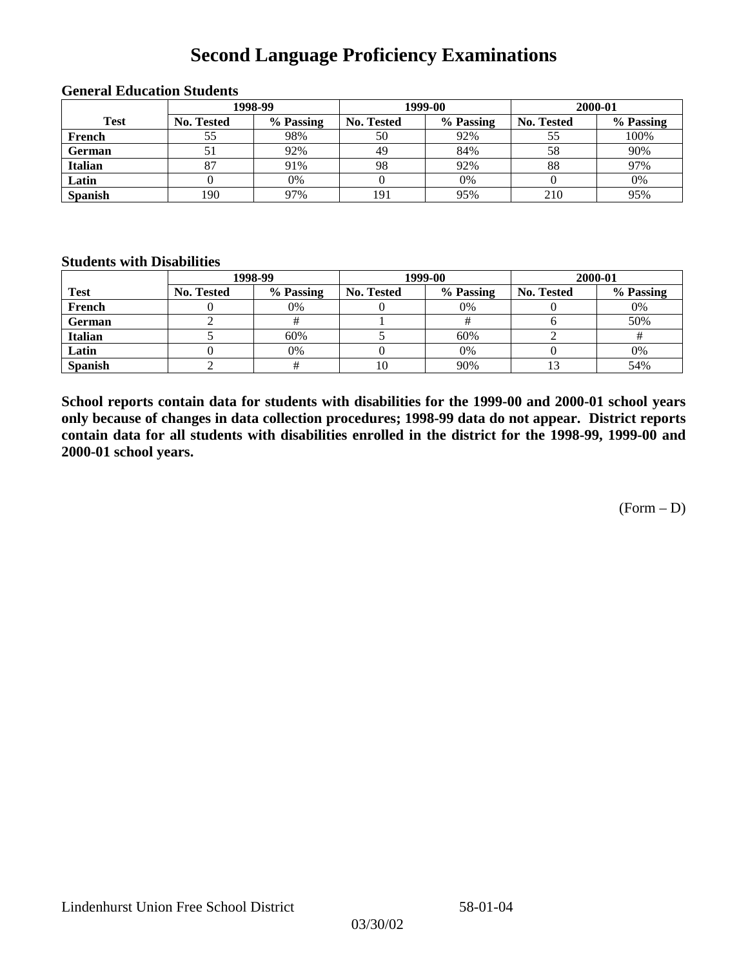## **Second Language Proficiency Examinations**

|                | 1998-99           |           |                   | 1999-00   | 2000-01           |           |  |
|----------------|-------------------|-----------|-------------------|-----------|-------------------|-----------|--|
| <b>Test</b>    | <b>No. Tested</b> | % Passing | <b>No. Tested</b> | % Passing | <b>No. Tested</b> | % Passing |  |
| French         |                   | 98%       | 50                | 92%       |                   | 100%      |  |
| <b>German</b>  |                   | 92%       | 49                | 84%       | 58                | 90%       |  |
| <b>Italian</b> |                   | 91%       | 98                | 92%       | 88                | 97%       |  |
| Latin          |                   | 0%        |                   | 0%        |                   | 0%        |  |
| <b>Spanish</b> | 190               | 97%       | 191               | 95%       | 210               | 95%       |  |

#### **General Education Students**

### **Students with Disabilities**

|                | 1998-99    |           |                   | 1999-00   | 2000-01           |           |  |
|----------------|------------|-----------|-------------------|-----------|-------------------|-----------|--|
| <b>Test</b>    | No. Tested | % Passing | <b>No. Tested</b> | % Passing | <b>No. Tested</b> | % Passing |  |
| French         |            | 0%        |                   | 0%        |                   | 0%        |  |
| <b>German</b>  |            |           |                   |           |                   | 50%       |  |
| <b>Italian</b> |            | 60%       |                   | 60%       |                   |           |  |
| Latin          |            | 0%        |                   | 0%        |                   | 0%        |  |
| <b>Spanish</b> |            |           | 10                | 90%       |                   | 54%       |  |

**School reports contain data for students with disabilities for the 1999-00 and 2000-01 school years only because of changes in data collection procedures; 1998-99 data do not appear. District reports contain data for all students with disabilities enrolled in the district for the 1998-99, 1999-00 and 2000-01 school years.**

(Form – D)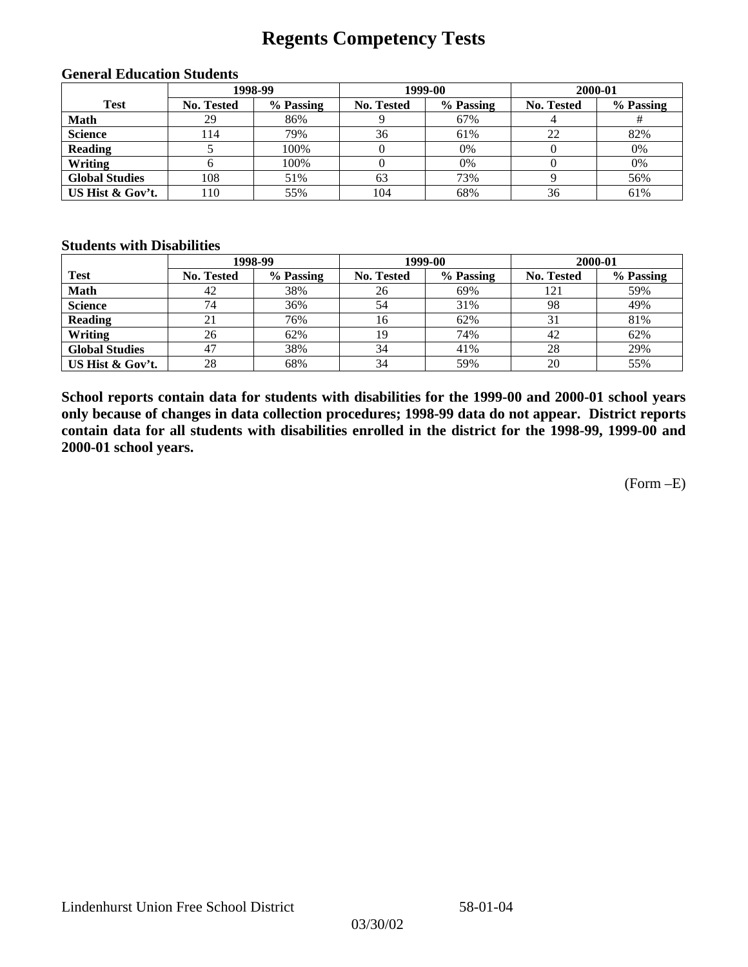## **Regents Competency Tests**

|                       |                   | 1998-99   |            | 1999-00   | 2000-01    |           |  |
|-----------------------|-------------------|-----------|------------|-----------|------------|-----------|--|
| <b>Test</b>           | <b>No. Tested</b> | % Passing | No. Tested | % Passing | No. Tested | % Passing |  |
| <b>Math</b>           | 29                | 86%       |            | 67%       |            |           |  |
| <b>Science</b>        | 14                | 79%       | 36         | 61%       | 22         | 82%       |  |
| <b>Reading</b>        |                   | 100%      |            | 0%        |            | 0%        |  |
| Writing               |                   | 100%      |            | 0%        |            | 0%        |  |
| <b>Global Studies</b> | 108               | 51%       | 63         | 73%       |            | 56%       |  |
| US Hist & Gov't.      | 110               | 55%       | 104        | 68%       | 36         | 61%       |  |

#### **General Education Students**

#### **Students with Disabilities**

|                       |            | 1998-99   |            | 1999-00   |                   | 2000-01   |  |
|-----------------------|------------|-----------|------------|-----------|-------------------|-----------|--|
| <b>Test</b>           | No. Tested | % Passing | No. Tested | % Passing | <b>No. Tested</b> | % Passing |  |
| <b>Math</b>           | 42         | 38%       | 26         | 69%       | 121               | 59%       |  |
| <b>Science</b>        | 74         | 36%       | 54         | 31%       | 98                | 49%       |  |
| <b>Reading</b>        |            | 76%       | 16         | 62%       |                   | 81%       |  |
| Writing               | 26         | 62%       | 19         | 74%       | 42                | 62%       |  |
| <b>Global Studies</b> | 47         | 38%       | 34         | 41%       | 28                | 29%       |  |
| US Hist & Gov't.      | 28         | 68%       | 34         | 59%       | 20                | 55%       |  |

**School reports contain data for students with disabilities for the 1999-00 and 2000-01 school years only because of changes in data collection procedures; 1998-99 data do not appear. District reports contain data for all students with disabilities enrolled in the district for the 1998-99, 1999-00 and 2000-01 school years.**

(Form –E)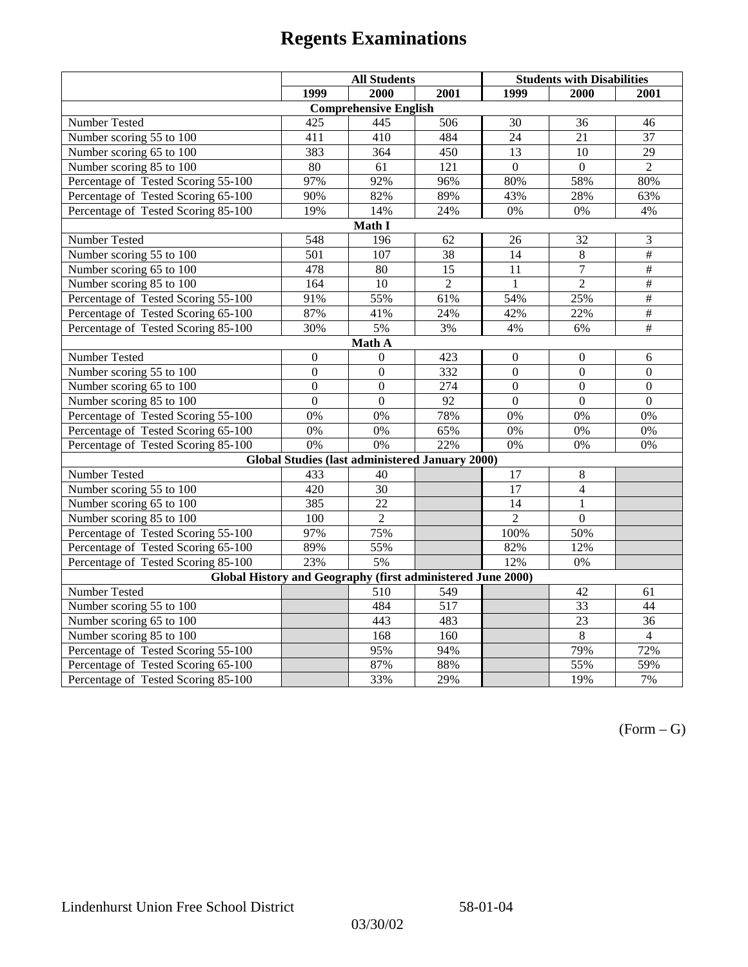|                                                                 | <b>All Students</b> |                                                        |                | <b>Students with Disabilities</b> |                  |                          |  |  |
|-----------------------------------------------------------------|---------------------|--------------------------------------------------------|----------------|-----------------------------------|------------------|--------------------------|--|--|
|                                                                 | 1999                | 2000                                                   | 2001           | 1999                              | 2000             | 2001                     |  |  |
|                                                                 |                     | <b>Comprehensive English</b>                           |                |                                   |                  |                          |  |  |
| Number Tested                                                   | 425                 | 445                                                    | 506            | 30                                | 36               | 46                       |  |  |
| Number scoring 55 to 100                                        | 411                 | 410                                                    | 484            | 24                                | 21               | $\overline{37}$          |  |  |
| Number scoring 65 to 100                                        | 383                 | 364                                                    | 450            | $\overline{13}$                   | $\overline{10}$  | $\overline{29}$          |  |  |
| Number scoring 85 to 100                                        | 80                  | 61                                                     | 121            | $\Omega$                          | $\Omega$         | $\overline{2}$           |  |  |
| Percentage of Tested Scoring 55-100                             | 97%                 | 92%                                                    | 96%            | 80%                               | 58%              | 80%                      |  |  |
| Percentage of Tested Scoring 65-100                             | 90%                 | 82%                                                    | 89%            | 43%                               | 28%              | 63%                      |  |  |
| Percentage of Tested Scoring 85-100                             | 19%                 | 14%                                                    | 24%            | $0\%$                             | $0\%$            | 4%                       |  |  |
|                                                                 |                     | Math I                                                 |                |                                   |                  |                          |  |  |
| $\overline{3}$<br>Number Tested<br>548<br>196<br>62<br>26<br>32 |                     |                                                        |                |                                   |                  |                          |  |  |
| Number scoring 55 to 100                                        | 501                 | 107                                                    | 38             | 14                                | $\,8\,$          | $\overline{\overline{}}$ |  |  |
| Number scoring 65 to 100                                        | 478                 | 80                                                     | 15             | 11                                | $\overline{7}$   | $\overline{+}$           |  |  |
| Number scoring 85 to 100                                        | $\frac{164}{ }$     | $\overline{10}$                                        | $\overline{2}$ | $\mathbf{1}$                      | $\overline{2}$   | #                        |  |  |
| Percentage of Tested Scoring 55-100                             | 91%                 | 55%                                                    | 61%            | 54%                               | 25%              | $\overline{\overline{}}$ |  |  |
| Percentage of Tested Scoring 65-100                             | 87%                 | 41%                                                    | 24%            | 42%                               | 22%              | $\#$                     |  |  |
| Percentage of Tested Scoring 85-100                             | 30%                 | 5%                                                     | 3%             | 4%                                | 6%               | $\overline{\#}$          |  |  |
| Math A                                                          |                     |                                                        |                |                                   |                  |                          |  |  |
| Number Tested                                                   | $\boldsymbol{0}$    | $\Omega$                                               | 423            | $\overline{0}$                    | $\mathbf{0}$     | 6                        |  |  |
| Number scoring 55 to 100                                        | $\overline{0}$      | $\overline{0}$                                         | 332            | $\overline{0}$                    | $\overline{0}$   | $\overline{0}$           |  |  |
| Number scoring 65 to 100                                        | $\boldsymbol{0}$    | $\mathbf{0}$                                           | 274            | $\overline{0}$                    | $\boldsymbol{0}$ | $\boldsymbol{0}$         |  |  |
| Number scoring 85 to 100                                        | $\mathbf{0}$        | $\mathbf{0}$                                           | 92             | $\boldsymbol{0}$                  | $\mathbf{0}$     | $\boldsymbol{0}$         |  |  |
| Percentage of Tested Scoring 55-100                             | 0%                  | 0%                                                     | 78%            | 0%                                | 0%               | 0%                       |  |  |
| Percentage of Tested Scoring 65-100                             | 0%                  | 0%                                                     | 65%            | 0%                                | 0%               | 0%                       |  |  |
| Percentage of Tested Scoring 85-100                             | 0%                  | 0%                                                     | 22%            | 0%                                | 0%               | 0%                       |  |  |
|                                                                 |                     | <b>Global Studies (last administered January 2000)</b> |                |                                   |                  |                          |  |  |
| Number Tested                                                   | 433                 | 40                                                     |                | 17                                | $\,8\,$          |                          |  |  |
| Number scoring 55 to 100                                        | 420                 | 30                                                     |                | $\overline{17}$                   | $\overline{4}$   |                          |  |  |
| Number scoring 65 to 100                                        | 385                 | 22                                                     |                | 14                                | $\mathbf{1}$     |                          |  |  |
| Number scoring 85 to 100                                        | 100                 | $\overline{c}$                                         |                | $\overline{2}$                    | $\Omega$         |                          |  |  |
| Percentage of Tested Scoring 55-100                             | 97%                 | 75%                                                    |                | 100%                              | 50%              |                          |  |  |
| Percentage of Tested Scoring 65-100                             | 89%                 | 55%                                                    |                | 82%                               | 12%              |                          |  |  |
| Percentage of Tested Scoring 85-100                             | 23%                 | $5\%$                                                  |                | 12%                               | 0%               |                          |  |  |
| Global History and Geography (first administered June 2000)     |                     |                                                        |                |                                   |                  |                          |  |  |
| Number Tested                                                   |                     | 510                                                    | 549            |                                   | 42               | 61                       |  |  |
| Number scoring 55 to 100                                        |                     | 484                                                    | 517            |                                   | 33               | 44                       |  |  |
| Number scoring 65 to 100                                        |                     | 443                                                    | 483            |                                   | $\overline{23}$  | 36                       |  |  |
| Number scoring 85 to 100                                        |                     | 168                                                    | 160            |                                   | 8                | $\overline{4}$           |  |  |
| Percentage of Tested Scoring 55-100                             |                     | 95%                                                    | 94%            |                                   | 79%              | 72%                      |  |  |
| Percentage of Tested Scoring 65-100                             |                     | 87%                                                    | 88%            |                                   | 55%              | 59%                      |  |  |
| Percentage of Tested Scoring 85-100                             |                     | 33%                                                    | 29%            |                                   | 19%              | 7%                       |  |  |

 $(Form - G)$ 

03/30/02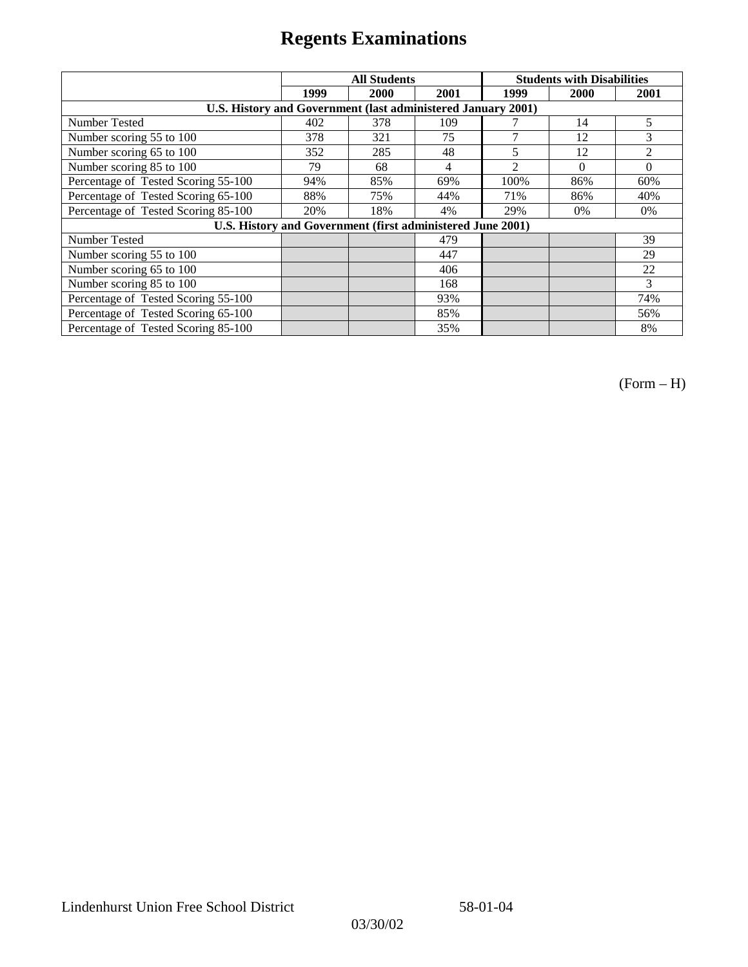|                                                              |      | <b>All Students</b> |      | <b>Students with Disabilities</b> |          |                |
|--------------------------------------------------------------|------|---------------------|------|-----------------------------------|----------|----------------|
|                                                              | 1999 | 2000                | 2001 | 1999                              | 2000     | 2001           |
| U.S. History and Government (last administered January 2001) |      |                     |      |                                   |          |                |
| Number Tested                                                | 402  | 378                 | 109  |                                   | 14       | 5              |
| Number scoring 55 to 100                                     | 378  | 321                 | 75   | 7                                 | 12       | 3              |
| Number scoring 65 to 100                                     | 352  | 285                 | 48   | 5                                 | 12       | $\overline{2}$ |
| Number scoring 85 to 100                                     | 79   | 68                  | 4    | $\mathfrak{D}$                    | $\theta$ | $\Omega$       |
| Percentage of Tested Scoring 55-100                          | 94%  | 85%                 | 69%  | 100%                              | 86%      | 60%            |
| Percentage of Tested Scoring 65-100                          | 88%  | 75%                 | 44%  | 71%                               | 86%      | 40%            |
| Percentage of Tested Scoring 85-100                          | 20%  | 18%                 | 4%   | 29%                               | 0%       | $0\%$          |
| U.S. History and Government (first administered June 2001)   |      |                     |      |                                   |          |                |
| Number Tested                                                |      |                     | 479  |                                   |          | 39             |
| Number scoring 55 to 100                                     |      |                     | 447  |                                   |          | 29             |
| Number scoring 65 to 100                                     |      |                     | 406  |                                   |          | 22             |
| Number scoring 85 to 100                                     |      |                     | 168  |                                   |          | 3              |
| Percentage of Tested Scoring 55-100                          |      |                     | 93%  |                                   |          | 74%            |
| Percentage of Tested Scoring 65-100                          |      |                     | 85%  |                                   |          | 56%            |
| Percentage of Tested Scoring 85-100                          |      |                     | 35%  |                                   |          | 8%             |

(Form – H)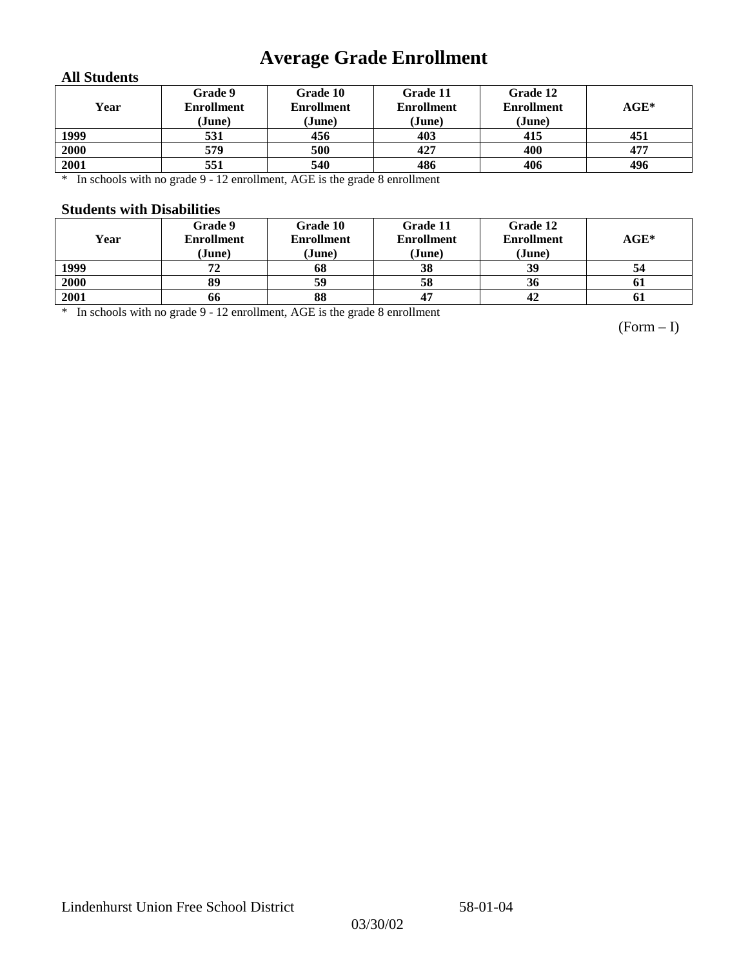## **Average Grade Enrollment**

### **All Students**

| Year | Grade 9<br><b>Enrollment</b><br>(June) | Grade 10<br><b>Enrollment</b><br>(June) | Grade 11<br><b>Enrollment</b><br>(June) | Grade 12<br><b>Enrollment</b><br>(June) | $AGE^*$ |
|------|----------------------------------------|-----------------------------------------|-----------------------------------------|-----------------------------------------|---------|
| 1999 | 531                                    | 456                                     | 403                                     | 415                                     | 451     |
| 2000 | 579                                    | 500                                     | 427                                     | 400                                     | 477     |
| 2001 | 551                                    | 540                                     | 486                                     | 406                                     | 496     |

\* In schools with no grade 9 - 12 enrollment, AGE is the grade 8 enrollment

#### **Students with Disabilities**

| Year | Grade 9<br><b>Enrollment</b><br>(June) | Grade 10<br><b>Enrollment</b><br>(June) | Grade 11<br><b>Enrollment</b><br>(June) | Grade 12<br><b>Enrollment</b><br>(June) | $AGE^*$   |
|------|----------------------------------------|-----------------------------------------|-----------------------------------------|-----------------------------------------|-----------|
| 1999 | 72                                     | 68                                      | 38                                      | 39                                      | 54        |
| 2000 | 89                                     | 59                                      | 58                                      | 36                                      | <b>61</b> |
| 2001 | 66                                     | 88                                      |                                         | 42                                      | 0 I       |

\* In schools with no grade 9 - 12 enrollment, AGE is the grade 8 enrollment

(Form – I)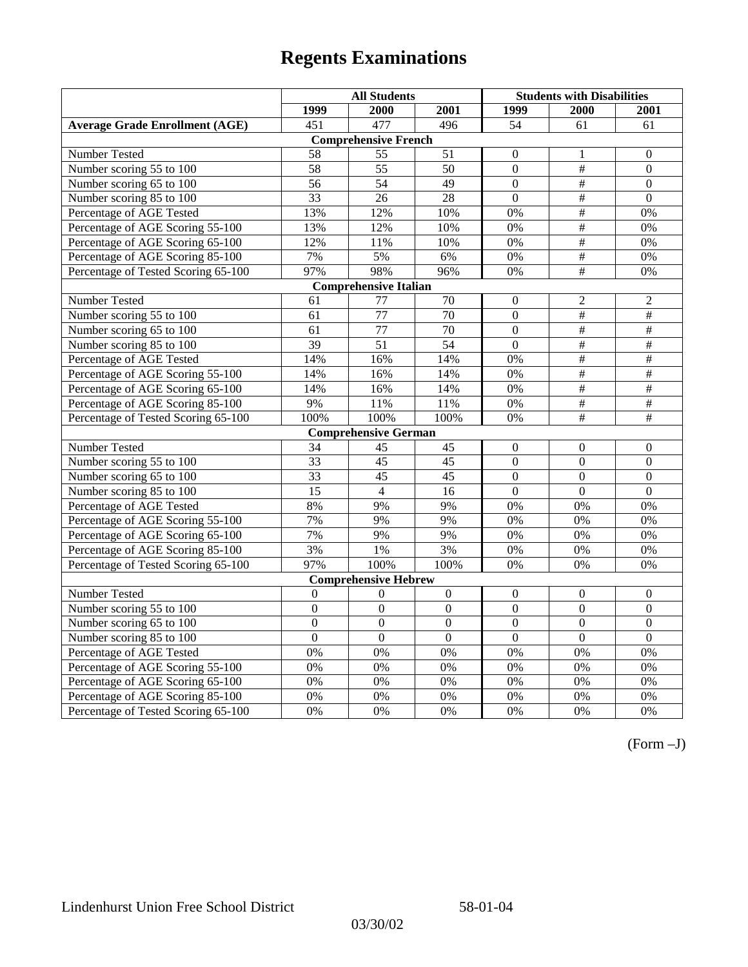|                                       | <b>All Students</b> |                              |                 | <b>Students with Disabilities</b> |                           |                          |
|---------------------------------------|---------------------|------------------------------|-----------------|-----------------------------------|---------------------------|--------------------------|
|                                       | 1999                | 2000                         | 2001            | 1999                              | 2000                      | 2001                     |
| <b>Average Grade Enrollment (AGE)</b> | 451                 | 477                          | 496             | 54                                | 61                        | 61                       |
|                                       |                     | <b>Comprehensive French</b>  |                 |                                   |                           |                          |
| Number Tested                         | 58                  | 55                           | 51              | $\overline{0}$                    | 1                         | $\mathbf{0}$             |
| Number scoring 55 to 100              | 58                  | $\overline{55}$              | 50              | $\overline{0}$                    | #                         | $\mathbf{0}$             |
| Number scoring 65 to 100              | 56                  | 54                           | 49              | $\overline{0}$                    | #                         | $\mathbf{0}$             |
| Number scoring 85 to 100              | 33                  | 26                           | 28              | $\overline{0}$                    | $\overline{\overline{t}}$ | $\mathbf{0}$             |
| Percentage of AGE Tested              | 13%                 | 12%                          | 10%             | $0\%$                             | #                         | 0%                       |
| Percentage of AGE Scoring 55-100      | 13%                 | 12%                          | 10%             | 0%                                | #                         | 0%                       |
| Percentage of AGE Scoring 65-100      | 12%                 | 11%                          | 10%             | 0%                                | $\overline{\overline{t}}$ | 0%                       |
| Percentage of AGE Scoring 85-100      | 7%                  | 5%                           | 6%              | $0\%$                             | $\#$                      | $0\%$                    |
| Percentage of Tested Scoring 65-100   | 97%                 | 98%                          | 96%             | 0%                                | $\overline{+}$            | 0%                       |
|                                       |                     | <b>Comprehensive Italian</b> |                 |                                   |                           |                          |
| Number Tested                         | 61                  | 77                           | 70              | $\overline{0}$                    | $\overline{2}$            | $\overline{2}$           |
| Number scoring 55 to 100              | 61                  | 77                           | 70              | $\overline{0}$                    | $\overline{\#}$           | #                        |
| Number scoring 65 to 100              | 61                  | $\overline{77}$              | $\overline{70}$ | $\overline{0}$                    | #                         | #                        |
| Number scoring 85 to 100              | 39                  | $\overline{51}$              | 54              | $\overline{0}$                    | $\#$                      | $\#$                     |
| Percentage of AGE Tested              | 14%                 | 16%                          | 14%             | 0%                                | $\#$                      | $\#$                     |
| Percentage of AGE Scoring 55-100      | 14%                 | 16%                          | 14%             | 0%                                | #                         | #                        |
| Percentage of AGE Scoring 65-100      | 14%                 | 16%                          | 14%             | 0%                                | #                         | #                        |
| Percentage of AGE Scoring 85-100      | 9%                  | 11%                          | 11%             | $0\%$                             | $\overline{\#}$           | $\overline{\overline{}}$ |
| Percentage of Tested Scoring 65-100   | 100%                | 100%                         | 100%            | 0%                                | $\overline{\overline{t}}$ | $\overline{+}$           |
|                                       |                     | <b>Comprehensive German</b>  |                 |                                   |                           |                          |
| Number Tested                         | 34                  | 45                           | 45              | $\mathbf{0}$                      | $\mathbf{0}$              | $\boldsymbol{0}$         |
| Number scoring 55 to 100              | 33                  | $\overline{45}$              | 45              | $\overline{0}$                    | $\overline{0}$            | $\mathbf{0}$             |
| Number scoring 65 to 100              | 33                  | 45                           | 45              | $\overline{0}$                    | $\mathbf{0}$              | $\boldsymbol{0}$         |
| Number scoring 85 to 100              | $\overline{15}$     | $\overline{4}$               | $\overline{16}$ | $\overline{0}$                    | $\overline{0}$            | $\overline{0}$           |
| Percentage of AGE Tested              | 8%                  | 9%                           | 9%              | 0%                                | 0%                        | 0%                       |
| Percentage of AGE Scoring 55-100      | 7%                  | 9%                           | 9%              | $0\%$                             | 0%                        | 0%                       |
| Percentage of AGE Scoring 65-100      | 7%                  | 9%                           | 9%              | 0%                                | 0%                        | 0%                       |
| Percentage of AGE Scoring 85-100      | 3%                  | 1%                           | 3%              | 0%                                | 0%                        | 0%                       |
| Percentage of Tested Scoring 65-100   | 97%                 | 100%                         | 100%            | 0%                                | 0%                        | 0%                       |
|                                       |                     | <b>Comprehensive Hebrew</b>  |                 |                                   |                           |                          |
| <b>Number Tested</b>                  | $\mathbf{0}$        | $\mathbf{0}$                 | $\mathbf{0}$    | $\overline{0}$                    | $\mathbf{0}$              | $\mathbf{0}$             |
| Number scoring 55 to 100              | $\boldsymbol{0}$    | $\boldsymbol{0}$             | $\mathbf{0}$    | $\mathbf{0}$                      | $\mathbf{0}$              | $\boldsymbol{0}$         |
| Number scoring 65 to 100              | $\boldsymbol{0}$    | $\mathbf{0}$                 | $\overline{0}$  | $\overline{0}$                    | $\mathbf{0}$              | $\mathbf{0}$             |
| Number scoring 85 to 100              | $\mathbf{0}$        | $\mathbf{0}$                 | $\mathbf{0}$    | $\mathbf{0}$                      | $\mathbf{0}$              | $\mathbf{0}$             |
| Percentage of AGE Tested              | 0%                  | 0%                           | 0%              | 0%                                | 0%                        | 0%                       |
| Percentage of AGE Scoring 55-100      | 0%                  | 0%                           | 0%              | 0%                                | 0%                        | 0%                       |
| Percentage of AGE Scoring 65-100      | 0%                  | 0%                           | 0%              | 0%                                | 0%                        | 0%                       |
| Percentage of AGE Scoring 85-100      | 0%                  | 0%                           | 0%              | $0\%$                             | 0%                        | 0%                       |
| Percentage of Tested Scoring 65-100   | 0%                  | 0%                           | 0%              | 0%                                | 0%                        | 0%                       |

(Form –J)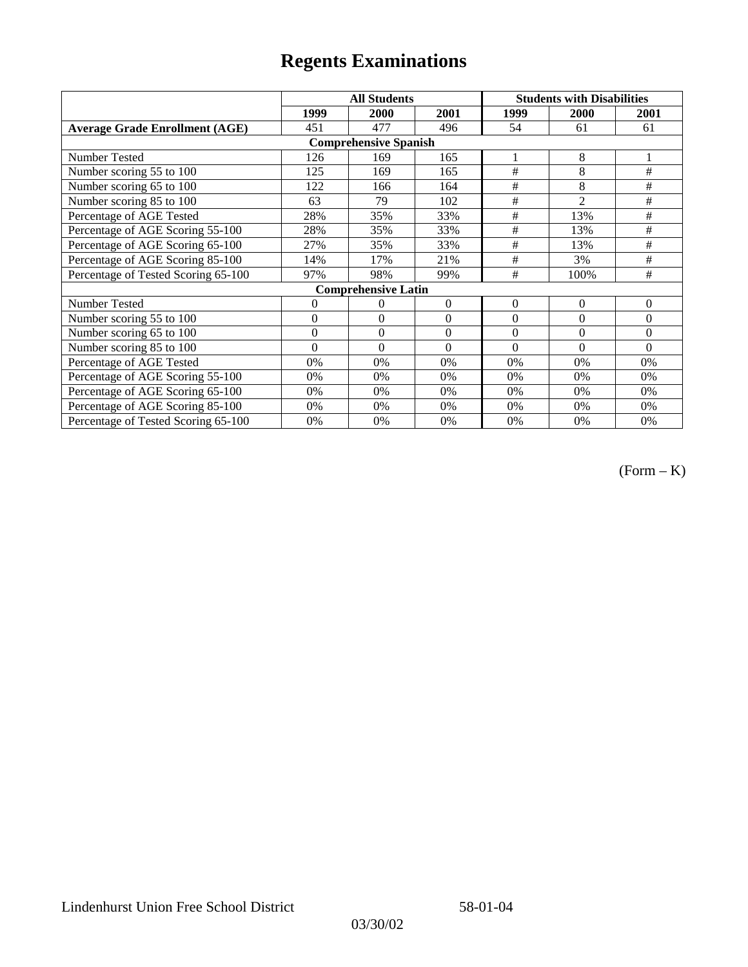|                                       |                | <b>All Students</b>        |                  | <b>Students with Disabilities</b> |                |          |  |  |
|---------------------------------------|----------------|----------------------------|------------------|-----------------------------------|----------------|----------|--|--|
|                                       | 1999           | 2000                       | 2001             | 1999                              | <b>2000</b>    | 2001     |  |  |
| <b>Average Grade Enrollment (AGE)</b> | 451            | 477                        | 496              | 54                                | 61             | 61       |  |  |
| <b>Comprehensive Spanish</b>          |                |                            |                  |                                   |                |          |  |  |
| <b>Number Tested</b>                  | 126            | 169                        | 165              | 1                                 | 8              |          |  |  |
| Number scoring 55 to 100              | 125            | 169                        | 165              | #                                 | 8              | $\#$     |  |  |
| Number scoring 65 to 100              | 122            | 166                        | 164              | #                                 | 8              | $\#$     |  |  |
| Number scoring 85 to 100              | 63             | 79                         | 102              | #                                 | $\overline{2}$ | $\#$     |  |  |
| Percentage of AGE Tested              | 28%            | 35%                        | 33%              | #                                 | 13%            | #        |  |  |
| Percentage of AGE Scoring 55-100      | 28%            | 35%                        | 33%              | #                                 | 13%            | $\#$     |  |  |
| Percentage of AGE Scoring 65-100      | 27%            | 35%                        | 33%              | #                                 | 13%            | #        |  |  |
| Percentage of AGE Scoring 85-100      | 14%            | 17%                        | 21%              | #                                 | 3%             | #        |  |  |
| Percentage of Tested Scoring 65-100   | 97%            | 98%                        | 99%              | #                                 | 100%           | #        |  |  |
|                                       |                | <b>Comprehensive Latin</b> |                  |                                   |                |          |  |  |
| Number Tested                         | $\overline{0}$ | 0                          | $\theta$         | $\overline{0}$                    | $\theta$       | $\theta$ |  |  |
| Number scoring 55 to 100              | $\mathbf{0}$   | $\theta$                   | $\boldsymbol{0}$ | $\overline{0}$                    | $\theta$       | $\Omega$ |  |  |
| Number scoring 65 to 100              | $\mathbf{0}$   | $\boldsymbol{0}$           | $\theta$         | $\theta$                          | $\theta$       | $\Omega$ |  |  |
| Number scoring 85 to 100              | $\theta$       | $\theta$                   | $\Omega$         | $\theta$                          | $\Omega$       | $\Omega$ |  |  |
| Percentage of AGE Tested              | 0%             | 0%                         | 0%               | 0%                                | 0%             | 0%       |  |  |
| Percentage of AGE Scoring 55-100      | 0%             | 0%                         | 0%               | 0%                                | 0%             | 0%       |  |  |
| Percentage of AGE Scoring 65-100      | 0%             | 0%                         | 0%               | 0%                                | 0%             | 0%       |  |  |
| Percentage of AGE Scoring 85-100      | 0%             | 0%                         | 0%               | $0\%$                             | 0%             | $0\%$    |  |  |
| Percentage of Tested Scoring 65-100   | 0%             | 0%                         | 0%               | 0%                                | 0%             | 0%       |  |  |

(Form – K)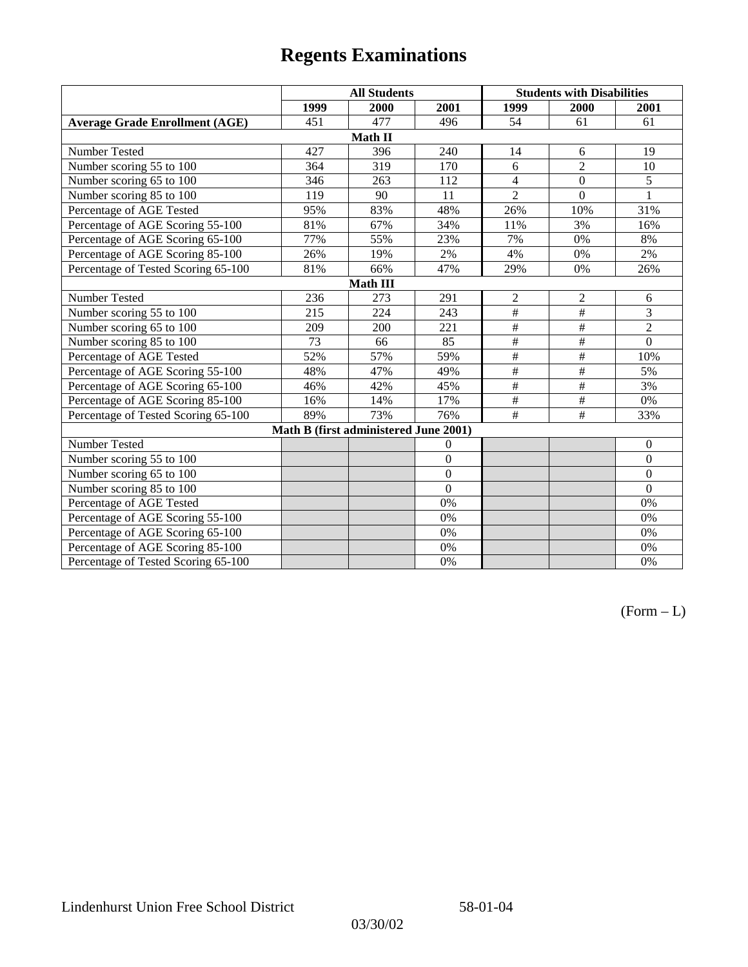|                                       | <b>All Students</b> |                                       |                |                 | <b>Students with Disabilities</b> |                  |  |  |
|---------------------------------------|---------------------|---------------------------------------|----------------|-----------------|-----------------------------------|------------------|--|--|
|                                       | 1999                | 2000                                  | 2001           | 1999            | 2000                              | 2001             |  |  |
| <b>Average Grade Enrollment (AGE)</b> | 451                 | 477                                   | 496            | 54              | 61                                | 61               |  |  |
|                                       |                     | Math II                               |                |                 |                                   |                  |  |  |
| Number Tested                         | 427                 | 396                                   | 240            | 14              | 6                                 | 19               |  |  |
| Number scoring 55 to 100              | 364                 | 319                                   | 170            | 6               | $\overline{2}$                    | 10               |  |  |
| Number scoring 65 to 100              | 346                 | 263                                   | 112            | $\overline{4}$  | $\mathbf{0}$                      | $\overline{5}$   |  |  |
| Number scoring 85 to 100              | 119                 | 90                                    | 11             | $\overline{2}$  | $\overline{0}$                    |                  |  |  |
| Percentage of AGE Tested              | 95%                 | 83%                                   | 48%            | 26%             | 10%                               | 31%              |  |  |
| Percentage of AGE Scoring 55-100      | 81%                 | 67%                                   | 34%            | 11%             | 3%                                | 16%              |  |  |
| Percentage of AGE Scoring 65-100      | 77%                 | 55%                                   | 23%            | 7%              | 0%                                | 8%               |  |  |
| Percentage of AGE Scoring 85-100      | 26%                 | 19%                                   | 2%             | 4%              | 0%                                | 2%               |  |  |
| Percentage of Tested Scoring 65-100   | 81%                 | 66%                                   | 47%            | 29%             | 0%                                | 26%              |  |  |
| <b>Math III</b>                       |                     |                                       |                |                 |                                   |                  |  |  |
| Number Tested                         | 236                 | 273                                   | 291            | $\sqrt{2}$      | $\sqrt{2}$                        | 6                |  |  |
| Number scoring 55 to 100              | 215                 | 224                                   | 243            | $\overline{\#}$ | $\#$                              | 3                |  |  |
| Number scoring 65 to 100              | 209                 | 200                                   | 221            | $\#$            | $\#$                              | $\overline{2}$   |  |  |
| Number scoring 85 to 100              | 73                  | 66                                    | 85             | $\#$            | $\#$                              | $\overline{0}$   |  |  |
| Percentage of AGE Tested              | 52%                 | 57%                                   | 59%            | $\#$            | $\#$                              | 10%              |  |  |
| Percentage of AGE Scoring 55-100      | 48%                 | 47%                                   | 49%            | $\overline{\#}$ | $\overline{\overline{}}$          | 5%               |  |  |
| Percentage of AGE Scoring 65-100      | 46%                 | 42%                                   | 45%            | $\#$            | $\#$                              | 3%               |  |  |
| Percentage of AGE Scoring 85-100      | 16%                 | 14%                                   | 17%            | $\#$            | $\#$                              | 0%               |  |  |
| Percentage of Tested Scoring 65-100   | 89%                 | 73%                                   | 76%            | #               | #                                 | 33%              |  |  |
|                                       |                     | Math B (first administered June 2001) |                |                 |                                   |                  |  |  |
| Number Tested                         |                     |                                       | $\mathbf{0}$   |                 |                                   | $\boldsymbol{0}$ |  |  |
| Number scoring 55 to 100              |                     |                                       | $\overline{0}$ |                 |                                   | $\mathbf{0}$     |  |  |
| Number scoring 65 to 100              |                     |                                       | $\overline{0}$ |                 |                                   | $\boldsymbol{0}$ |  |  |
| Number scoring 85 to 100              |                     |                                       | $\overline{0}$ |                 |                                   | $\mathbf{0}$     |  |  |
| Percentage of AGE Tested              |                     |                                       | 0%             |                 |                                   | 0%               |  |  |
| Percentage of AGE Scoring 55-100      |                     |                                       | 0%             |                 |                                   | 0%               |  |  |
| Percentage of AGE Scoring 65-100      |                     |                                       | 0%             |                 |                                   | $0\%$            |  |  |
| Percentage of AGE Scoring 85-100      |                     |                                       | 0%             |                 |                                   | 0%               |  |  |
| Percentage of Tested Scoring 65-100   |                     |                                       | 0%             |                 |                                   | 0%               |  |  |

 $(Form - L)$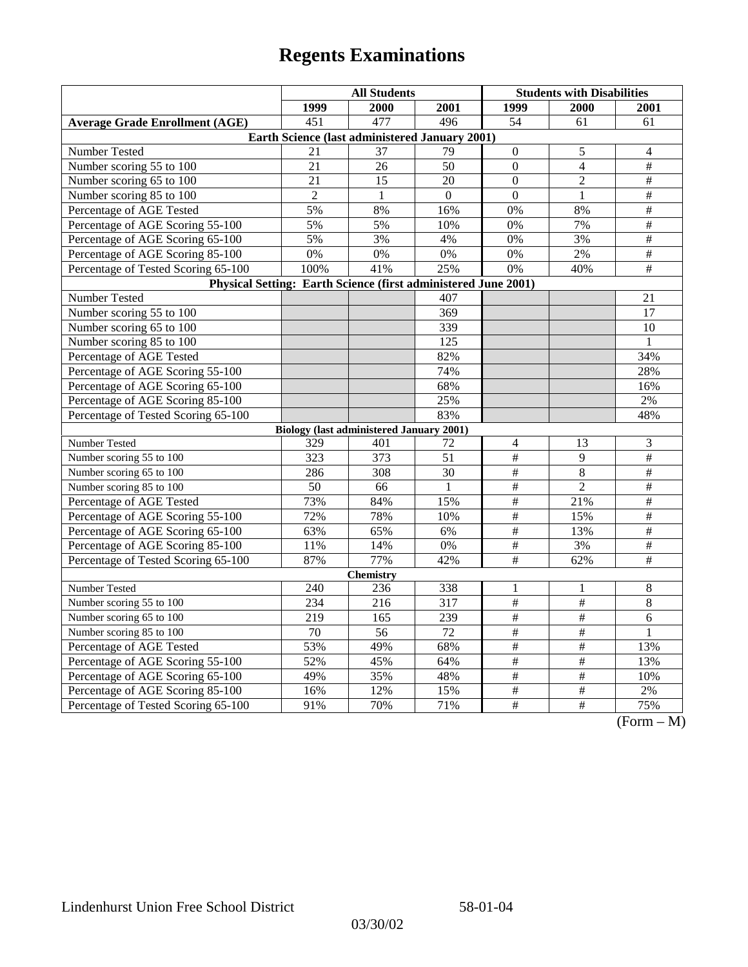| 1999<br>1999<br>2000<br>2001<br><b>2000</b><br><b>2001</b><br>451<br>477<br>496<br>54<br><b>Average Grade Enrollment (AGE)</b><br>61<br>61<br>Earth Science (last administered January 2001)<br>Number Tested<br>21<br>37<br>79<br>$\boldsymbol{0}$<br>5<br>4<br>Number scoring 55 to 100<br>$\mathbf{0}$<br>$\overline{4}$<br>$\#$<br>21<br>26<br>50<br>$\#$<br>Number scoring 65 to 100<br>21<br>15<br>20<br>$\Omega$<br>$\overline{2}$<br>$\#$<br>Number scoring 85 to 100<br>$\overline{2}$<br>$\mathbf{0}$<br>$\mathbf{1}$<br>$\Omega$<br>$\mathbf{1}$<br>$\#$<br>Percentage of AGE Tested<br>5%<br>8%<br>16%<br>0%<br>8% |  |  |  |  |  |  |  |
|--------------------------------------------------------------------------------------------------------------------------------------------------------------------------------------------------------------------------------------------------------------------------------------------------------------------------------------------------------------------------------------------------------------------------------------------------------------------------------------------------------------------------------------------------------------------------------------------------------------------------------|--|--|--|--|--|--|--|
|                                                                                                                                                                                                                                                                                                                                                                                                                                                                                                                                                                                                                                |  |  |  |  |  |  |  |
|                                                                                                                                                                                                                                                                                                                                                                                                                                                                                                                                                                                                                                |  |  |  |  |  |  |  |
|                                                                                                                                                                                                                                                                                                                                                                                                                                                                                                                                                                                                                                |  |  |  |  |  |  |  |
|                                                                                                                                                                                                                                                                                                                                                                                                                                                                                                                                                                                                                                |  |  |  |  |  |  |  |
|                                                                                                                                                                                                                                                                                                                                                                                                                                                                                                                                                                                                                                |  |  |  |  |  |  |  |
|                                                                                                                                                                                                                                                                                                                                                                                                                                                                                                                                                                                                                                |  |  |  |  |  |  |  |
|                                                                                                                                                                                                                                                                                                                                                                                                                                                                                                                                                                                                                                |  |  |  |  |  |  |  |
|                                                                                                                                                                                                                                                                                                                                                                                                                                                                                                                                                                                                                                |  |  |  |  |  |  |  |
| Percentage of AGE Scoring 55-100<br>$\#$<br>5%<br>5%<br>10%<br>0%<br>7%                                                                                                                                                                                                                                                                                                                                                                                                                                                                                                                                                        |  |  |  |  |  |  |  |
| 5%<br>3%<br>3%<br>$\#$<br>Percentage of AGE Scoring 65-100<br>4%<br>0%                                                                                                                                                                                                                                                                                                                                                                                                                                                                                                                                                         |  |  |  |  |  |  |  |
| $\overline{\#}$<br>0%<br>0%<br>2%<br>Percentage of AGE Scoring 85-100<br>0%<br>0%                                                                                                                                                                                                                                                                                                                                                                                                                                                                                                                                              |  |  |  |  |  |  |  |
| 100%<br>41%<br>25%<br>$\overline{0\%}$<br>$\overline{+}$<br>Percentage of Tested Scoring 65-100<br>40%                                                                                                                                                                                                                                                                                                                                                                                                                                                                                                                         |  |  |  |  |  |  |  |
| Physical Setting: Earth Science (first administered June 2001)                                                                                                                                                                                                                                                                                                                                                                                                                                                                                                                                                                 |  |  |  |  |  |  |  |
| Number Tested<br>407<br>21                                                                                                                                                                                                                                                                                                                                                                                                                                                                                                                                                                                                     |  |  |  |  |  |  |  |
| Number scoring 55 to 100<br>369<br>17                                                                                                                                                                                                                                                                                                                                                                                                                                                                                                                                                                                          |  |  |  |  |  |  |  |
| 339<br>Number scoring 65 to 100<br>10                                                                                                                                                                                                                                                                                                                                                                                                                                                                                                                                                                                          |  |  |  |  |  |  |  |
| Number scoring 85 to 100<br>125<br>1                                                                                                                                                                                                                                                                                                                                                                                                                                                                                                                                                                                           |  |  |  |  |  |  |  |
| Percentage of AGE Tested<br>82%<br>34%                                                                                                                                                                                                                                                                                                                                                                                                                                                                                                                                                                                         |  |  |  |  |  |  |  |
| 74%<br>28%<br>Percentage of AGE Scoring 55-100                                                                                                                                                                                                                                                                                                                                                                                                                                                                                                                                                                                 |  |  |  |  |  |  |  |
| Percentage of AGE Scoring 65-100<br>68%<br>16%                                                                                                                                                                                                                                                                                                                                                                                                                                                                                                                                                                                 |  |  |  |  |  |  |  |
| Percentage of AGE Scoring 85-100<br>25%<br>2%                                                                                                                                                                                                                                                                                                                                                                                                                                                                                                                                                                                  |  |  |  |  |  |  |  |
| Percentage of Tested Scoring 65-100<br>83%<br>48%                                                                                                                                                                                                                                                                                                                                                                                                                                                                                                                                                                              |  |  |  |  |  |  |  |
| <b>Biology (last administered January 2001)</b>                                                                                                                                                                                                                                                                                                                                                                                                                                                                                                                                                                                |  |  |  |  |  |  |  |
| Number Tested<br>3<br>$\overline{4}$<br>13<br>329<br>401<br>72                                                                                                                                                                                                                                                                                                                                                                                                                                                                                                                                                                 |  |  |  |  |  |  |  |
| $\#$<br>$\overline{\#}$<br>Number scoring 55 to 100<br>373<br>51<br>9<br>323                                                                                                                                                                                                                                                                                                                                                                                                                                                                                                                                                   |  |  |  |  |  |  |  |
| Number scoring 65 to 100<br>30<br>$\#$<br>8<br>$\#$<br>286<br>308                                                                                                                                                                                                                                                                                                                                                                                                                                                                                                                                                              |  |  |  |  |  |  |  |
| $\overline{\#}$<br>$\overline{\ddot{}}$<br>Number scoring 85 to 100<br>$\mathfrak{D}$<br>50<br>66<br>$\mathbf{1}$                                                                                                                                                                                                                                                                                                                                                                                                                                                                                                              |  |  |  |  |  |  |  |
| $\overline{\#}$<br>$\overline{\#}$<br>73%<br>84%<br>15%<br>Percentage of AGE Tested<br>21%                                                                                                                                                                                                                                                                                                                                                                                                                                                                                                                                     |  |  |  |  |  |  |  |
| $\overline{\#}$<br>$\overline{\#}$<br>78%<br>72%<br>10%<br>15%<br>Percentage of AGE Scoring 55-100                                                                                                                                                                                                                                                                                                                                                                                                                                                                                                                             |  |  |  |  |  |  |  |
| Percentage of AGE Scoring 65-100<br>63%<br>65%<br>$\#$<br>$\#$<br>6%<br>13%                                                                                                                                                                                                                                                                                                                                                                                                                                                                                                                                                    |  |  |  |  |  |  |  |
| Percentage of AGE Scoring 85-100<br>14%<br>$\#$<br>3%<br>$\#$<br>11%<br>$0\%$                                                                                                                                                                                                                                                                                                                                                                                                                                                                                                                                                  |  |  |  |  |  |  |  |
| $\overline{\#}$<br>77%<br>$\overline{+}$<br>87%<br>42%<br>62%<br>Percentage of Tested Scoring 65-100                                                                                                                                                                                                                                                                                                                                                                                                                                                                                                                           |  |  |  |  |  |  |  |
| <b>Chemistry</b>                                                                                                                                                                                                                                                                                                                                                                                                                                                                                                                                                                                                               |  |  |  |  |  |  |  |
| Number Tested<br>240<br>236<br>338<br>8<br>1<br>1                                                                                                                                                                                                                                                                                                                                                                                                                                                                                                                                                                              |  |  |  |  |  |  |  |
| $\overline{\#}$<br>$\overline{8}$<br>234<br>216<br>317<br>$\#$<br>Number scoring 55 to 100                                                                                                                                                                                                                                                                                                                                                                                                                                                                                                                                     |  |  |  |  |  |  |  |
| $\overline{\#}$<br>$\overline{\#}$<br>$\overline{6}$<br>Number scoring 65 to 100<br>219<br>165<br>239                                                                                                                                                                                                                                                                                                                                                                                                                                                                                                                          |  |  |  |  |  |  |  |
| Number scoring 85 to 100<br>72<br>$\#$<br>$\#$<br>70<br>56<br>1                                                                                                                                                                                                                                                                                                                                                                                                                                                                                                                                                                |  |  |  |  |  |  |  |
| $\#$<br>$\#$<br>Percentage of AGE Tested<br>53%<br>49%<br>68%<br>13%                                                                                                                                                                                                                                                                                                                                                                                                                                                                                                                                                           |  |  |  |  |  |  |  |
| $\#$<br>#<br>52%<br>Percentage of AGE Scoring 55-100<br>45%<br>64%<br>13%                                                                                                                                                                                                                                                                                                                                                                                                                                                                                                                                                      |  |  |  |  |  |  |  |
| 35%<br>$\overline{\#}$<br>$\overline{\#}$<br>Percentage of AGE Scoring 65-100<br>49%<br>48%<br>10%                                                                                                                                                                                                                                                                                                                                                                                                                                                                                                                             |  |  |  |  |  |  |  |
| $\frac{1}{2}$<br>$\frac{1}{2}$<br>Percentage of AGE Scoring 85-100<br>12%<br>15%<br>$2\%$<br>16%                                                                                                                                                                                                                                                                                                                                                                                                                                                                                                                               |  |  |  |  |  |  |  |
| $\overline{\#}$<br>Percentage of Tested Scoring 65-100<br>$\#$<br>91%<br>70%<br>71%<br>75%<br>$\sqrt{\Gamma_{\alpha}}$<br>$\mathbf{M}$                                                                                                                                                                                                                                                                                                                                                                                                                                                                                         |  |  |  |  |  |  |  |

(Form – M)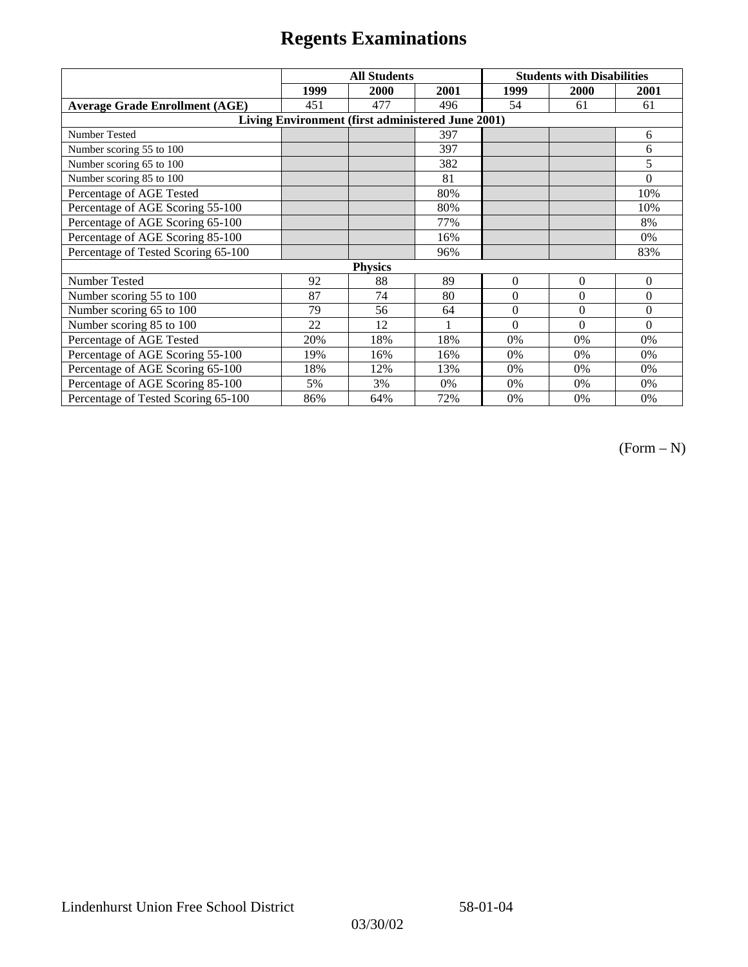|                                                   | <b>All Students</b> |      |      | <b>Students with Disabilities</b> |                |          |  |  |
|---------------------------------------------------|---------------------|------|------|-----------------------------------|----------------|----------|--|--|
|                                                   | 1999                | 2000 | 2001 | 1999                              | 2000           | 2001     |  |  |
| <b>Average Grade Enrollment (AGE)</b>             | 451                 | 477  | 496  | 54                                | 61             | 61       |  |  |
| Living Environment (first administered June 2001) |                     |      |      |                                   |                |          |  |  |
| Number Tested                                     |                     |      | 397  |                                   |                | 6        |  |  |
| Number scoring 55 to 100                          |                     |      | 397  |                                   |                | 6        |  |  |
| Number scoring 65 to 100                          |                     |      | 382  |                                   |                | 5        |  |  |
| Number scoring 85 to 100                          |                     |      | 81   |                                   |                | $\theta$ |  |  |
| Percentage of AGE Tested                          |                     |      | 80%  |                                   |                | 10%      |  |  |
| Percentage of AGE Scoring 55-100                  |                     |      | 80%  |                                   |                | 10%      |  |  |
| Percentage of AGE Scoring 65-100                  |                     |      | 77%  |                                   |                | 8%       |  |  |
| Percentage of AGE Scoring 85-100                  |                     |      | 16%  |                                   |                | 0%       |  |  |
| Percentage of Tested Scoring 65-100               |                     |      | 96%  |                                   |                | 83%      |  |  |
| <b>Physics</b>                                    |                     |      |      |                                   |                |          |  |  |
| Number Tested                                     | 92                  | 88   | 89   | $\Omega$                          | $\overline{0}$ | $\theta$ |  |  |
| Number scoring 55 to 100                          | 87                  | 74   | 80   | $\Omega$                          | $\theta$       | $\theta$ |  |  |
| Number scoring 65 to 100                          | 79                  | 56   | 64   | $\Omega$                          | $\theta$       | $\theta$ |  |  |
| Number scoring 85 to 100                          | 22                  | 12   | 1    | $\Omega$                          | $\Omega$       | $\Omega$ |  |  |
| Percentage of AGE Tested                          | 20%                 | 18%  | 18%  | 0%                                | 0%             | 0%       |  |  |
| Percentage of AGE Scoring 55-100                  | 19%                 | 16%  | 16%  | 0%                                | 0%             | 0%       |  |  |
| Percentage of AGE Scoring 65-100                  | 18%                 | 12%  | 13%  | 0%                                | 0%             | 0%       |  |  |
| Percentage of AGE Scoring 85-100                  | 5%                  | 3%   | 0%   | 0%                                | 0%             | 0%       |  |  |
| Percentage of Tested Scoring 65-100               | 86%                 | 64%  | 72%  | 0%                                | 0%             | 0%       |  |  |

(Form – N)